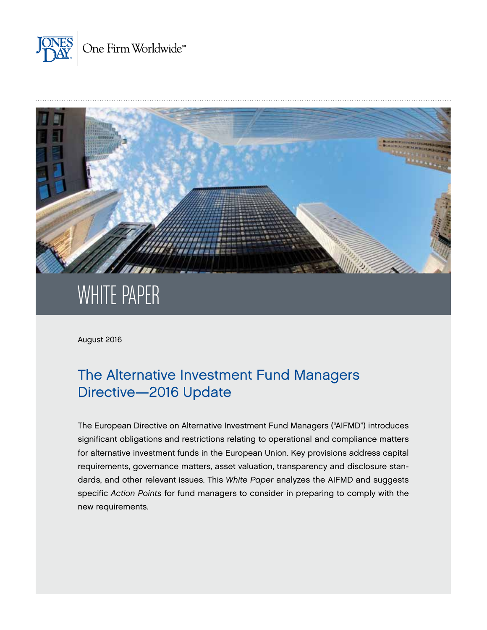



# WHITE PAPER

August 2016

# The Alternative Investment Fund Managers Directive—2016 Update

The European Directive on Alternative Investment Fund Managers ("AIFMD") introduces significant obligations and restrictions relating to operational and compliance matters for alternative investment funds in the European Union. Key provisions address capital requirements, governance matters, asset valuation, transparency and disclosure standards, and other relevant issues. This *White Paper* analyzes the AIFMD and suggests specific *Action Points* for fund managers to consider in preparing to comply with the new requirements.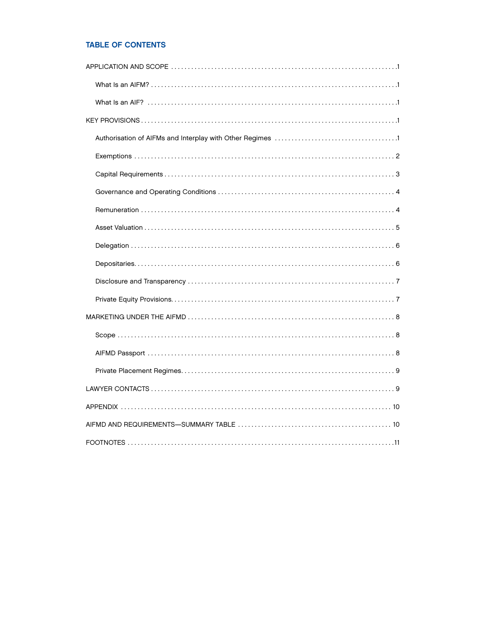# TABLE OF CONTENTS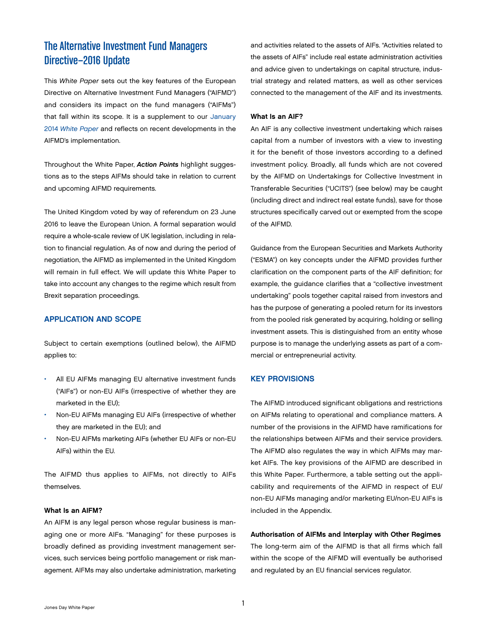# <span id="page-2-0"></span>The Alternative Investment Fund Managers Directive—2016 Update

This *White Paper* sets out the key features of the European Directive on Alternative Investment Fund Managers ("AIFMD") and considers its impact on the fund managers ("AIFMs") that fall within its scope. It is a supplement to our [January](http://www.jonesday.com/files/Publication/04b07fc6-2651-4290-aee9-bb47581dbb2c/Presentation/PublicationAttachment/bca0aa78-bb29-440c-9019-cacb9b621fe1/Alternative%20Investment%20Fund%20Managers%202014.pdf)  2014 *[White Paper](http://www.jonesday.com/files/Publication/04b07fc6-2651-4290-aee9-bb47581dbb2c/Presentation/PublicationAttachment/bca0aa78-bb29-440c-9019-cacb9b621fe1/Alternative%20Investment%20Fund%20Managers%202014.pdf)* and reflects on recent developments in the AIFMD's implementation.

Throughout the White Paper, *Action Points* highlight suggestions as to the steps AIFMs should take in relation to current and upcoming AIFMD requirements.

The United Kingdom voted by way of referendum on 23 June 2016 to leave the European Union. A formal separation would require a whole-scale review of UK legislation, including in relation to financial regulation. As of now and during the period of negotiation, the AIFMD as implemented in the United Kingdom will remain in full effect. We will update this White Paper to take into account any changes to the regime which result from Brexit separation proceedings.

# APPLICATION AND SCOPE

Subject to certain exemptions (outlined below), the AIFMD applies to:

- All EU AIFMs managing EU alternative investment funds ("AIFs") or non-EU AIFs (irrespective of whether they are marketed in the EU);
- Non-EU AIFMs managing EU AIFs (irrespective of whether they are marketed in the EU); and
- Non-EU AIFMs marketing AIFs (whether EU AIFs or non-EU AIFs) within the EU.

The AIFMD thus applies to AIFMs, not directly to AIFs themselves.

#### What Is an AIFM?

An AIFM is any legal person whose regular business is managing one or more AIFs. "Managing" for these purposes is broadly defined as providing investment management services, such services being portfolio management or risk management. AIFMs may also undertake administration, marketing and activities related to the assets of AIFs. "Activities related to the assets of AIFs" include real estate administration activities and advice given to undertakings on capital structure, industrial strategy and related matters, as well as other services connected to the management of the AIF and its investments.

#### What Is an AIF?

An AIF is any collective investment undertaking which raises capital from a number of investors with a view to investing it for the benefit of those investors according to a defined investment policy. Broadly, all funds which are not covered by the AIFMD on Undertakings for Collective Investment in Transferable Securities ("UCITS") (see below) may be caught (including direct and indirect real estate funds), save for those structures specifically carved out or exempted from the scope of the AIFMD.

Guidance from the European Securities and Markets Authority ("ESMA") on key concepts under the AIFMD provides further clarification on the component parts of the AIF definition; for example, the guidance clarifies that a "collective investment undertaking" pools together capital raised from investors and has the purpose of generating a pooled return for its investors from the pooled risk generated by acquiring, holding or selling investment assets. This is distinguished from an entity whose purpose is to manage the underlying assets as part of a commercial or entrepreneurial activity.

#### KEY PROVISIONS

The AIFMD introduced significant obligations and restrictions on AIFMs relating to operational and compliance matters. A number of the provisions in the AIFMD have ramifications for the relationships between AIFMs and their service providers. The AIFMD also regulates the way in which AIFMs may market AIFs. The key provisions of the AIFMD are described in this White Paper. Furthermore, a table setting out the applicability and requirements of the AIFMD in respect of EU/ non-EU AIFMs managing and/or marketing EU/non-EU AIFs is included in the Appendix.

#### Authorisation of AIFMs and Interplay with Other Regimes

The long-term aim of the AIFMD is that all firms which fall within the scope of the AIFMD will eventually be authorised and regulated by an EU financial services regulator.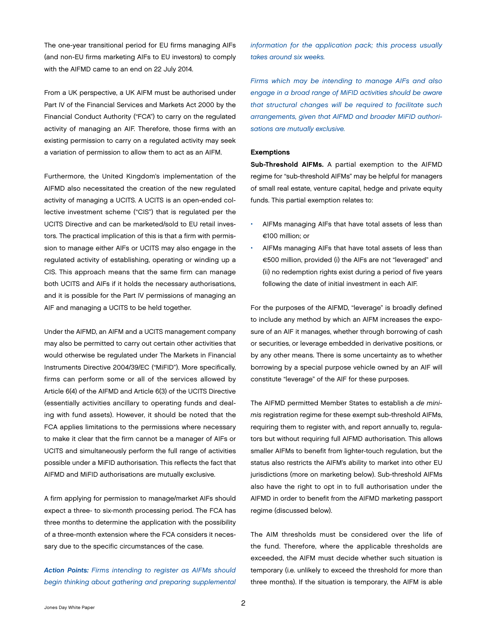<span id="page-3-0"></span>The one-year transitional period for EU firms managing AIFs (and non-EU firms marketing AIFs to EU investors) to comply with the AIFMD came to an end on 22 July 2014.

From a UK perspective, a UK AIFM must be authorised under Part IV of the Financial Services and Markets Act 2000 by the Financial Conduct Authority ("FCA") to carry on the regulated activity of managing an AIF. Therefore, those firms with an existing permission to carry on a regulated activity may seek a variation of permission to allow them to act as an AIFM.

Furthermore, the United Kingdom's implementation of the AIFMD also necessitated the creation of the new regulated activity of managing a UCITS. A UCITS is an open-ended collective investment scheme ("CIS") that is regulated per the UCITS Directive and can be marketed/sold to EU retail investors. The practical implication of this is that a firm with permission to manage either AIFs or UCITS may also engage in the regulated activity of establishing, operating or winding up a CIS. This approach means that the same firm can manage both UCITS and AIFs if it holds the necessary authorisations, and it is possible for the Part IV permissions of managing an AIF and managing a UCITS to be held together.

Under the AIFMD, an AIFM and a UCITS management company may also be permitted to carry out certain other activities that would otherwise be regulated under The Markets in Financial Instruments Directive 2004/39/EC ("MiFID"). More specifically, firms can perform some or all of the services allowed by Article 6(4) of the AIFMD and Article 6(3) of the UCITS Directive (essentially activities ancillary to operating funds and dealing with fund assets). However, it should be noted that the FCA applies limitations to the permissions where necessary to make it clear that the firm cannot be a manager of AIFs or UCITS and simultaneously perform the full range of activities possible under a MiFID authorisation. This reflects the fact that AIFMD and MiFID authorisations are mutually exclusive.

A firm applying for permission to manage/market AIFs should expect a three- to six-month processing period. The FCA has three months to determine the application with the possibility of a three-month extension where the FCA considers it necessary due to the specific circumstances of the case.

*Action Points: Firms intending to register as AIFMs should begin thinking about gathering and preparing supplemental*  *information for the application pack; this process usually takes around six weeks.* 

*Firms which may be intending to manage AIFs and also engage in a broad range of MiFID activities should be aware that structural changes will be required to facilitate such arrangements, given that AIFMD and broader MiFID authorisations are mutually exclusive.*

#### **Exemptions**

Sub-Threshold AIFMs. A partial exemption to the AIFMD regime for "sub-threshold AIFMs" may be helpful for managers of small real estate, venture capital, hedge and private equity funds. This partial exemption relates to:

- AIFMs managing AIFs that have total assets of less than €100 million; or
- AIFMs managing AIFs that have total assets of less than €500 million, provided (i) the AIFs are not "leveraged" and (ii) no redemption rights exist during a period of five years following the date of initial investment in each AIF.

For the purposes of the AIFMD, "leverage" is broadly defined to include any method by which an AIFM increases the exposure of an AIF it manages, whether through borrowing of cash or securities, or leverage embedded in derivative positions, or by any other means. There is some uncertainty as to whether borrowing by a special purpose vehicle owned by an AIF will constitute "leverage" of the AIF for these purposes.

The AIFMD permitted Member States to establish a *de minimis* registration regime for these exempt sub-threshold AIFMs, requiring them to register with, and report annually to, regulators but without requiring full AIFMD authorisation. This allows smaller AIFMs to benefit from lighter-touch regulation, but the status also restricts the AIFM's ability to market into other EU jurisdictions (more on marketing below). Sub-threshold AIFMs also have the right to opt in to full authorisation under the AIFMD in order to benefit from the AIFMD marketing passport regime (discussed below).

The AIM thresholds must be considered over the life of the fund. Therefore, where the applicable thresholds are exceeded, the AIFM must decide whether such situation is temporary (i.e. unlikely to exceed the threshold for more than three months). If the situation is temporary, the AIFM is able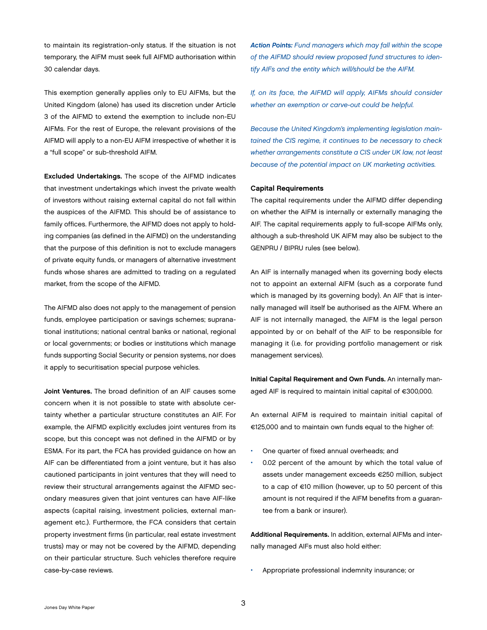<span id="page-4-0"></span>to maintain its registration-only status. If the situation is not temporary, the AIFM must seek full AIFMD authorisation within 30 calendar days.

This exemption generally applies only to EU AIFMs, but the United Kingdom (alone) has used its discretion under Article 3 of the AIFMD to extend the exemption to include non-EU AIFMs. For the rest of Europe, the relevant provisions of the AIFMD will apply to a non-EU AIFM irrespective of whether it is a "full scope" or sub-threshold AIFM.

Excluded Undertakings. The scope of the AIFMD indicates that investment undertakings which invest the private wealth of investors without raising external capital do not fall within the auspices of the AIFMD. This should be of assistance to family offices. Furthermore, the AIFMD does not apply to holding companies (as defined in the AIFMD) on the understanding that the purpose of this definition is not to exclude managers of private equity funds, or managers of alternative investment funds whose shares are admitted to trading on a regulated market, from the scope of the AIFMD.

The AIFMD also does not apply to the management of pension funds, employee participation or savings schemes; supranational institutions; national central banks or national, regional or local governments; or bodies or institutions which manage funds supporting Social Security or pension systems, nor does it apply to securitisation special purpose vehicles.

Joint Ventures. The broad definition of an AIF causes some concern when it is not possible to state with absolute certainty whether a particular structure constitutes an AIF. For example, the AIFMD explicitly excludes joint ventures from its scope, but this concept was not defined in the AIFMD or by ESMA. For its part, the FCA has provided guidance on how an AIF can be differentiated from a joint venture, but it has also cautioned participants in joint ventures that they will need to review their structural arrangements against the AIFMD secondary measures given that joint ventures can have AIF-like aspects (capital raising, investment policies, external management etc.). Furthermore, the FCA considers that certain property investment firms (in particular, real estate investment trusts) may or may not be covered by the AIFMD, depending on their particular structure. Such vehicles therefore require case-by-case reviews.

*Action Points: Fund managers which may fall within the scope of the AIFMD should review proposed fund structures to identify AIFs and the entity which will/should be the AIFM.*

*If, on its face, the AIFMD will apply, AIFMs should consider whether an exemption or carve-out could be helpful.* 

*Because the United Kingdom's implementing legislation maintained the CIS regime, it continues to be necessary to check whether arrangements constitute a CIS under UK law, not least because of the potential impact on UK marketing activities.*

#### Capital Requirements

The capital requirements under the AIFMD differ depending on whether the AIFM is internally or externally managing the AIF. The capital requirements apply to full-scope AIFMs only, although a sub-threshold UK AIFM may also be subject to the GENPRU / BIPRU rules (see below).

An AIF is internally managed when its governing body elects not to appoint an external AIFM (such as a corporate fund which is managed by its governing body). An AIF that is internally managed will itself be authorised as the AIFM. Where an AIF is not internally managed, the AIFM is the legal person appointed by or on behalf of the AIF to be responsible for managing it (i.e. for providing portfolio management or risk management services).

Initial Capital Requirement and Own Funds. An internally managed AIF is required to maintain initial capital of €300,000.

An external AIFM is required to maintain initial capital of €125,000 and to maintain own funds equal to the higher of:

- One quarter of fixed annual overheads; and
- 0.02 percent of the amount by which the total value of assets under management exceeds €250 million, subject to a cap of €10 million (however, up to 50 percent of this amount is not required if the AIFM benefits from a guarantee from a bank or insurer).

Additional Requirements. In addition, external AIFMs and internally managed AIFs must also hold either:

• Appropriate professional indemnity insurance; or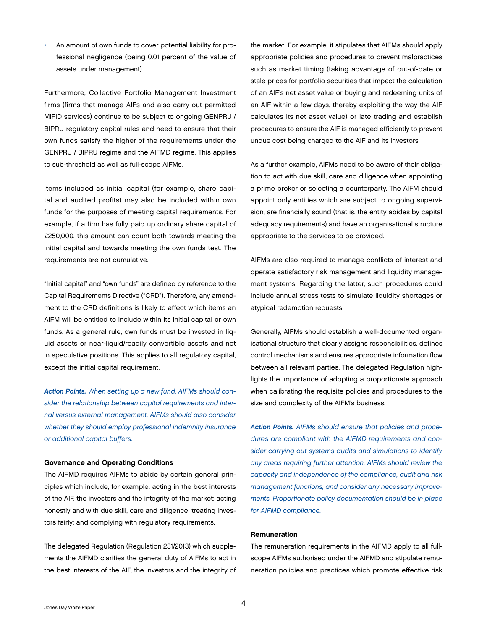<span id="page-5-0"></span>• An amount of own funds to cover potential liability for professional negligence (being 0.01 percent of the value of assets under management).

Furthermore, Collective Portfolio Management Investment firms (firms that manage AIFs and also carry out permitted MiFID services) continue to be subject to ongoing GENPRU / BIPRU regulatory capital rules and need to ensure that their own funds satisfy the higher of the requirements under the GENPRU / BIPRU regime and the AIFMD regime. This applies to sub-threshold as well as full-scope AIFMs.

Items included as initial capital (for example, share capital and audited profits) may also be included within own funds for the purposes of meeting capital requirements. For example, if a firm has fully paid up ordinary share capital of £250,000, this amount can count both towards meeting the initial capital and towards meeting the own funds test. The requirements are not cumulative.

"Initial capital" and "own funds" are defined by reference to the Capital Requirements Directive ("CRD"). Therefore, any amendment to the CRD definitions is likely to affect which items an AIFM will be entitled to include within its initial capital or own funds. As a general rule, own funds must be invested in liquid assets or near-liquid/readily convertible assets and not in speculative positions. This applies to all regulatory capital, except the initial capital requirement.

*Action Points. When setting up a new fund, AIFMs should consider the relationship between capital requirements and internal versus external management. AIFMs should also consider whether they should employ professional indemnity insurance or additional capital buffers.*

#### Governance and Operating Conditions

The AIFMD requires AIFMs to abide by certain general principles which include, for example: acting in the best interests of the AIF, the investors and the integrity of the market; acting honestly and with due skill, care and diligence; treating investors fairly; and complying with regulatory requirements.

The delegated Regulation (Regulation 231/2013) which supplements the AIFMD clarifies the general duty of AIFMs to act in the best interests of the AIF, the investors and the integrity of the market. For example, it stipulates that AIFMs should apply appropriate policies and procedures to prevent malpractices such as market timing (taking advantage of out-of-date or stale prices for portfolio securities that impact the calculation of an AIF's net asset value or buying and redeeming units of an AIF within a few days, thereby exploiting the way the AIF calculates its net asset value) or late trading and establish procedures to ensure the AIF is managed efficiently to prevent undue cost being charged to the AIF and its investors.

As a further example, AIFMs need to be aware of their obligation to act with due skill, care and diligence when appointing a prime broker or selecting a counterparty. The AIFM should appoint only entities which are subject to ongoing supervision, are financially sound (that is, the entity abides by capital adequacy requirements) and have an organisational structure appropriate to the services to be provided.

AIFMs are also required to manage conflicts of interest and operate satisfactory risk management and liquidity management systems. Regarding the latter, such procedures could include annual stress tests to simulate liquidity shortages or atypical redemption requests.

Generally, AIFMs should establish a well-documented organisational structure that clearly assigns responsibilities, defines control mechanisms and ensures appropriate information flow between all relevant parties. The delegated Regulation highlights the importance of adopting a proportionate approach when calibrating the requisite policies and procedures to the size and complexity of the AIFM's business.

*Action Points. AIFMs should ensure that policies and procedures are compliant with the AIFMD requirements and consider carrying out systems audits and simulations to identify any areas requiring further attention. AIFMs should review the capacity and independence of the compliance, audit and risk management functions, and consider any necessary improvements. Proportionate policy documentation should be in place for AIFMD compliance.*

#### Remuneration

The remuneration requirements in the AIFMD apply to all fullscope AIFMs authorised under the AIFMD and stipulate remuneration policies and practices which promote effective risk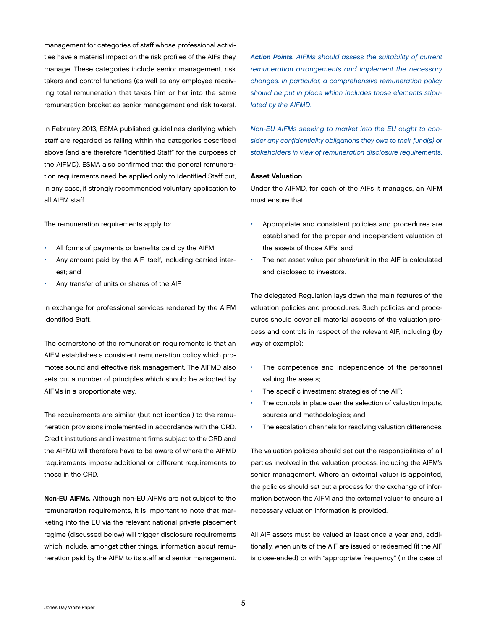<span id="page-6-0"></span>management for categories of staff whose professional activities have a material impact on the risk profiles of the AIFs they manage. These categories include senior management, risk takers and control functions (as well as any employee receiving total remuneration that takes him or her into the same remuneration bracket as senior management and risk takers).

In February 2013, ESMA published guidelines clarifying which staff are regarded as falling within the categories described above (and are therefore "Identified Staff" for the purposes of the AIFMD). ESMA also confirmed that the general remuneration requirements need be applied only to Identified Staff but, in any case, it strongly recommended voluntary application to all AIFM staff.

The remuneration requirements apply to:

- All forms of payments or benefits paid by the AIFM;
- Any amount paid by the AIF itself, including carried interest; and
- Any transfer of units or shares of the AIF,

in exchange for professional services rendered by the AIFM Identified Staff.

The cornerstone of the remuneration requirements is that an AIFM establishes a consistent remuneration policy which promotes sound and effective risk management. The AIFMD also sets out a number of principles which should be adopted by AIFMs in a proportionate way.

The requirements are similar (but not identical) to the remuneration provisions implemented in accordance with the CRD. Credit institutions and investment firms subject to the CRD and the AIFMD will therefore have to be aware of where the AIFMD requirements impose additional or different requirements to those in the CRD.

Non-EU AIFMs. Although non-EU AIFMs are not subject to the remuneration requirements, it is important to note that marketing into the EU via the relevant national private placement regime (discussed below) will trigger disclosure requirements which include, amongst other things, information about remuneration paid by the AIFM to its staff and senior management.

*Action Points. AIFMs should assess the suitability of current remuneration arrangements and implement the necessary changes. In particular, a comprehensive remuneration policy should be put in place which includes those elements stipulated by the AIFMD.*

*Non-EU AIFMs seeking to market into the EU ought to consider any confidentiality obligations they owe to their fund(s) or stakeholders in view of remuneration disclosure requirements.*

#### Asset Valuation

Under the AIFMD, for each of the AIFs it manages, an AIFM must ensure that:

- Appropriate and consistent policies and procedures are established for the proper and independent valuation of the assets of those AIFs; and
- The net asset value per share/unit in the AIF is calculated and disclosed to investors.

The delegated Regulation lays down the main features of the valuation policies and procedures. Such policies and procedures should cover all material aspects of the valuation process and controls in respect of the relevant AIF, including (by way of example):

- The competence and independence of the personnel valuing the assets;
- The specific investment strategies of the AIF;
- The controls in place over the selection of valuation inputs, sources and methodologies; and
- The escalation channels for resolving valuation differences.

The valuation policies should set out the responsibilities of all parties involved in the valuation process, including the AIFM's senior management. Where an external valuer is appointed, the policies should set out a process for the exchange of information between the AIFM and the external valuer to ensure all necessary valuation information is provided.

All AIF assets must be valued at least once a year and, additionally, when units of the AIF are issued or redeemed (if the AIF is close-ended) or with "appropriate frequency" (in the case of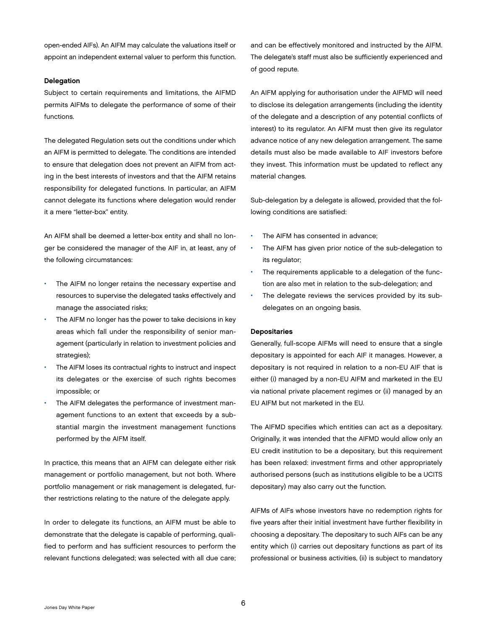<span id="page-7-0"></span>open-ended AIFs). An AIFM may calculate the valuations itself or appoint an independent external valuer to perform this function.

#### Delegation

Subject to certain requirements and limitations, the AIFMD permits AIFMs to delegate the performance of some of their functions.

The delegated Regulation sets out the conditions under which an AIFM is permitted to delegate. The conditions are intended to ensure that delegation does not prevent an AIFM from acting in the best interests of investors and that the AIFM retains responsibility for delegated functions. In particular, an AIFM cannot delegate its functions where delegation would render it a mere "letter-box" entity.

An AIFM shall be deemed a letter-box entity and shall no longer be considered the manager of the AIF in, at least, any of the following circumstances:

- The AIFM no longer retains the necessary expertise and resources to supervise the delegated tasks effectively and manage the associated risks;
- The AIFM no longer has the power to take decisions in key areas which fall under the responsibility of senior management (particularly in relation to investment policies and strategies);
- The AIFM loses its contractual rights to instruct and inspect its delegates or the exercise of such rights becomes impossible; or
- The AIFM delegates the performance of investment management functions to an extent that exceeds by a substantial margin the investment management functions performed by the AIFM itself.

In practice, this means that an AIFM can delegate either risk management or portfolio management, but not both. Where portfolio management or risk management is delegated, further restrictions relating to the nature of the delegate apply.

In order to delegate its functions, an AIFM must be able to demonstrate that the delegate is capable of performing, qualified to perform and has sufficient resources to perform the relevant functions delegated; was selected with all due care;

and can be effectively monitored and instructed by the AIFM. The delegate's staff must also be sufficiently experienced and of good repute.

An AIFM applying for authorisation under the AIFMD will need to disclose its delegation arrangements (including the identity of the delegate and a description of any potential conflicts of interest) to its regulator. An AIFM must then give its regulator advance notice of any new delegation arrangement. The same details must also be made available to AIF investors before they invest. This information must be updated to reflect any material changes.

Sub-delegation by a delegate is allowed, provided that the following conditions are satisfied:

- The AIFM has consented in advance;
- The AIFM has given prior notice of the sub-delegation to its regulator;
- The requirements applicable to a delegation of the function are also met in relation to the sub-delegation; and
- The delegate reviews the services provided by its subdelegates on an ongoing basis.

#### Depositaries

Generally, full-scope AIFMs will need to ensure that a single depositary is appointed for each AIF it manages. However, a depositary is not required in relation to a non-EU AIF that is either (i) managed by a non-EU AIFM and marketed in the EU via national private placement regimes or (ii) managed by an EU AIFM but not marketed in the EU.

The AIFMD specifies which entities can act as a depositary. Originally, it was intended that the AIFMD would allow only an EU credit institution to be a depositary, but this requirement has been relaxed: investment firms and other appropriately authorised persons (such as institutions eligible to be a UCITS depositary) may also carry out the function.

AIFMs of AIFs whose investors have no redemption rights for five years after their initial investment have further flexibility in choosing a depositary. The depositary to such AIFs can be any entity which (i) carries out depositary functions as part of its professional or business activities, (ii) is subject to mandatory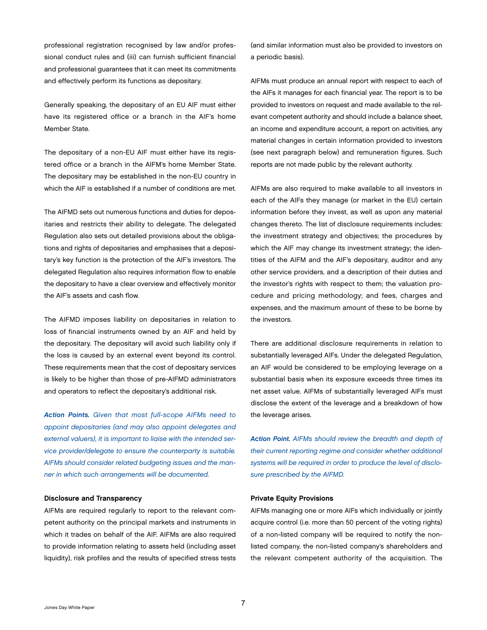<span id="page-8-0"></span>professional registration recognised by law and/or professional conduct rules and (iii) can furnish sufficient financial and professional guarantees that it can meet its commitments and effectively perform its functions as depositary.

Generally speaking, the depositary of an EU AIF must either have its registered office or a branch in the AIF's home Member State.

The depositary of a non-EU AIF must either have its registered office or a branch in the AIFM's home Member State. The depositary may be established in the non-EU country in which the AIF is established if a number of conditions are met.

The AIFMD sets out numerous functions and duties for depositaries and restricts their ability to delegate. The delegated Regulation also sets out detailed provisions about the obligations and rights of depositaries and emphasises that a depositary's key function is the protection of the AIF's investors. The delegated Regulation also requires information flow to enable the depositary to have a clear overview and effectively monitor the AIF's assets and cash flow.

The AIFMD imposes liability on depositaries in relation to loss of financial instruments owned by an AIF and held by the depositary. The depositary will avoid such liability only if the loss is caused by an external event beyond its control. These requirements mean that the cost of depositary services is likely to be higher than those of pre-AIFMD administrators and operators to reflect the depositary's additional risk.

*Action Points. Given that most full-scope AIFMs need to appoint depositaries (and may also appoint delegates and external valuers), it is important to liaise with the intended service provider/delegate to ensure the counterparty is suitable. AIFMs should consider related budgeting issues and the manner in which such arrangements will be documented.*

### Disclosure and Transparency

AIFMs are required regularly to report to the relevant competent authority on the principal markets and instruments in which it trades on behalf of the AIF. AIFMs are also required to provide information relating to assets held (including asset liquidity), risk profiles and the results of specified stress tests

(and similar information must also be provided to investors on a periodic basis).

AIFMs must produce an annual report with respect to each of the AIFs it manages for each financial year. The report is to be provided to investors on request and made available to the relevant competent authority and should include a balance sheet, an income and expenditure account, a report on activities, any material changes in certain information provided to investors (see next paragraph below) and remuneration figures. Such reports are not made public by the relevant authority.

AIFMs are also required to make available to all investors in each of the AIFs they manage (or market in the EU) certain information before they invest, as well as upon any material changes thereto. The list of disclosure requirements includes: the investment strategy and objectives; the procedures by which the AIF may change its investment strategy; the identities of the AIFM and the AIF's depositary, auditor and any other service providers, and a description of their duties and the investor's rights with respect to them; the valuation procedure and pricing methodology; and fees, charges and expenses, and the maximum amount of these to be borne by the investors.

There are additional disclosure requirements in relation to substantially leveraged AIFs. Under the delegated Regulation, an AIF would be considered to be employing leverage on a substantial basis when its exposure exceeds three times its net asset value. AIFMs of substantially leveraged AIFs must disclose the extent of the leverage and a breakdown of how the leverage arises.

*Action Point. AIFMs should review the breadth and depth of their current reporting regime and consider whether additional systems will be required in order to produce the level of disclosure prescribed by the AIFMD.*

#### Private Equity Provisions

AIFMs managing one or more AIFs which individually or jointly acquire control (i.e. more than 50 percent of the voting rights) of a non-listed company will be required to notify the nonlisted company, the non-listed company's shareholders and the relevant competent authority of the acquisition. The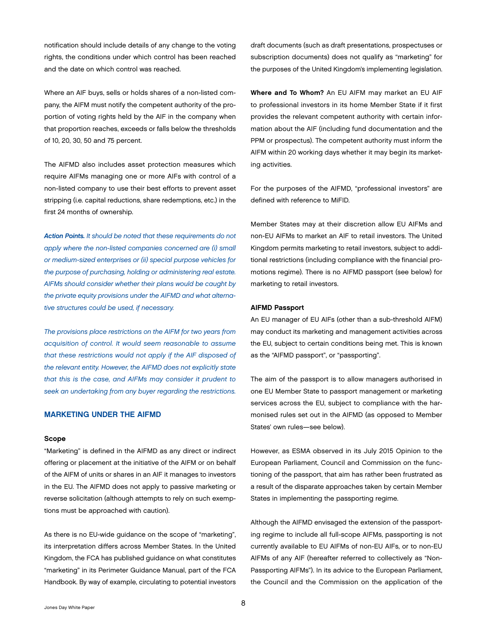<span id="page-9-0"></span>notification should include details of any change to the voting rights, the conditions under which control has been reached and the date on which control was reached.

Where an AIF buys, sells or holds shares of a non-listed company, the AIFM must notify the competent authority of the proportion of voting rights held by the AIF in the company when that proportion reaches, exceeds or falls below the thresholds of 10, 20, 30, 50 and 75 percent.

The AIFMD also includes asset protection measures which require AIFMs managing one or more AIFs with control of a non-listed company to use their best efforts to prevent asset stripping (i.e. capital reductions, share redemptions, etc.) in the first 24 months of ownership.

*Action Points. It should be noted that these requirements do not apply where the non-listed companies concerned are (i) small or medium-sized enterprises or (ii) special purpose vehicles for the purpose of purchasing, holding or administering real estate. AIFMs should consider whether their plans would be caught by the private equity provisions under the AIFMD and what alternative structures could be used, if necessary.* 

*The provisions place restrictions on the AIFM for two years from acquisition of control. It would seem reasonable to assume that these restrictions would not apply if the AIF disposed of the relevant entity. However, the AIFMD does not explicitly state that this is the case, and AIFMs may consider it prudent to seek an undertaking from any buyer regarding the restrictions.*

# MARKETING UNDER THE AIFMD

#### Scope

"Marketing" is defined in the AIFMD as any direct or indirect offering or placement at the initiative of the AIFM or on behalf of the AIFM of units or shares in an AIF it manages to investors in the EU. The AIFMD does not apply to passive marketing or reverse solicitation (although attempts to rely on such exemptions must be approached with caution).

As there is no EU-wide guidance on the scope of "marketing", its interpretation differs across Member States. In the United Kingdom, the FCA has published guidance on what constitutes "marketing" in its Perimeter Guidance Manual, part of the FCA Handbook. By way of example, circulating to potential investors

draft documents (such as draft presentations, prospectuses or subscription documents) does not qualify as "marketing" for the purposes of the United Kingdom's implementing legislation.

Where and To Whom? An EU AIFM may market an EU AIF to professional investors in its home Member State if it first provides the relevant competent authority with certain information about the AIF (including fund documentation and the PPM or prospectus). The competent authority must inform the AIFM within 20 working days whether it may begin its marketing activities.

For the purposes of the AIFMD, "professional investors" are defined with reference to MiFID.

Member States may at their discretion allow EU AIFMs and non-EU AIFMs to market an AIF to retail investors. The United Kingdom permits marketing to retail investors, subject to additional restrictions (including compliance with the financial promotions regime). There is no AIFMD passport (see below) for marketing to retail investors.

#### AIFMD Passport

An EU manager of EU AIFs (other than a sub-threshold AIFM) may conduct its marketing and management activities across the EU, subject to certain conditions being met. This is known as the "AIFMD passport", or "passporting".

The aim of the passport is to allow managers authorised in one EU Member State to passport management or marketing services across the EU, subject to compliance with the harmonised rules set out in the AIFMD (as opposed to Member States' own rules—see below).

However, as ESMA observed in its July 2015 Opinion to the European Parliament, Council and Commission on the functioning of the passport, that aim has rather been frustrated as a result of the disparate approaches taken by certain Member States in implementing the passporting regime.

Although the AIFMD envisaged the extension of the passporting regime to include all full-scope AIFMs, passporting is not currently available to EU AIFMs of non-EU AIFs, or to non-EU AIFMs of any AIF (hereafter referred to collectively as "Non-Passporting AIFMs"). In its advice to the European Parliament, the Council and the Commission on the application of the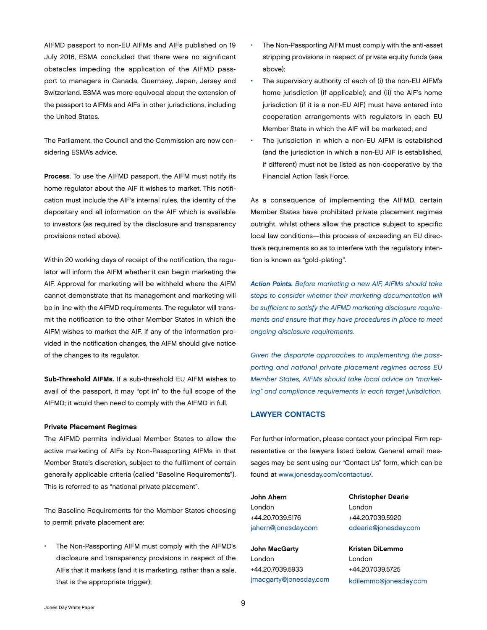<span id="page-10-0"></span>AIFMD passport to non-EU AIFMs and AIFs published on 19 July 2016, ESMA concluded that there were no significant obstacles impeding the application of the AIFMD passport to managers in Canada, Guernsey, Japan, Jersey and Switzerland. ESMA was more equivocal about the extension of the passport to AIFMs and AIFs in other jurisdictions, including the United States.

The Parliament, the Council and the Commission are now considering ESMA's advice.

Process. To use the AIFMD passport, the AIFM must notify its home regulator about the AIF it wishes to market. This notification must include the AIF's internal rules, the identity of the depositary and all information on the AIF which is available to investors (as required by the disclosure and transparency provisions noted above).

Within 20 working days of receipt of the notification, the regulator will inform the AIFM whether it can begin marketing the AIF. Approval for marketing will be withheld where the AIFM cannot demonstrate that its management and marketing will be in line with the AIFMD requirements. The regulator will transmit the notification to the other Member States in which the AIFM wishes to market the AIF. If any of the information provided in the notification changes, the AIFM should give notice of the changes to its regulator.

Sub-Threshold AIFMs. If a sub-threshold EU AIFM wishes to avail of the passport, it may "opt in" to the full scope of the AIFMD; it would then need to comply with the AIFMD in full.

#### Private Placement Regimes

The AIFMD permits individual Member States to allow the active marketing of AIFs by Non-Passporting AIFMs in that Member State's discretion, subject to the fulfilment of certain generally applicable criteria (called "Baseline Requirements"). This is referred to as "national private placement".

The Baseline Requirements for the Member States choosing to permit private placement are:

• The Non-Passporting AIFM must comply with the AIFMD's disclosure and transparency provisions in respect of the AIFs that it markets (and it is marketing, rather than a sale, that is the appropriate trigger);

- The Non-Passporting AIFM must comply with the anti-asset stripping provisions in respect of private equity funds (see above);
- The supervisory authority of each of (i) the non-EU AIFM's home jurisdiction (if applicable); and (ii) the AIF's home jurisdiction (if it is a non-EU AIF) must have entered into cooperation arrangements with regulators in each EU Member State in which the AIF will be marketed; and
- The jurisdiction in which a non-EU AIFM is established (and the jurisdiction in which a non-EU AIF is established, if different) must not be listed as non-cooperative by the Financial Action Task Force.

As a consequence of implementing the AIFMD, certain Member States have prohibited private placement regimes outright, whilst others allow the practice subject to specific local law conditions—this process of exceeding an EU directive's requirements so as to interfere with the regulatory intention is known as "gold-plating".

*Action Points. Before marketing a new AIF, AIFMs should take steps to consider whether their marketing documentation will be sufficient to satisfy the AIFMD marketing disclosure requirements and ensure that they have procedures in place to meet ongoing disclosure requirements.*

*Given the disparate approaches to implementing the passporting and national private placement regimes across EU Member States, AIFMs should take local advice on "marketing" and compliance requirements in each target jurisdiction.*

#### LAWYER CONTACTS

For further information, please contact your principal Firm representative or the lawyers listed below. General email messages may be sent using our "Contact Us" form, which can be found at [www.jonesday.com/contactus/](http://www.jonesday.com/contactus/).

John Ahern London +44.20.7039.5176 [jahern@jonesday.com](mailto:jahern@jonesday.com)

John MacGarty London +44.20.7039.5933 [jmacgarty@jonesday.com](mailto:jmacgarty@jonesday.com) Christopher Dearie London +44.20.7039.5920 [cdearie@jonesday.com](mailto:cdearie@jonesday.com)

Kristen DiLemmo London +44.20.7039.5725 [kdilemmo@jonesday.com](mailto:kdilemmo@jonesday.com)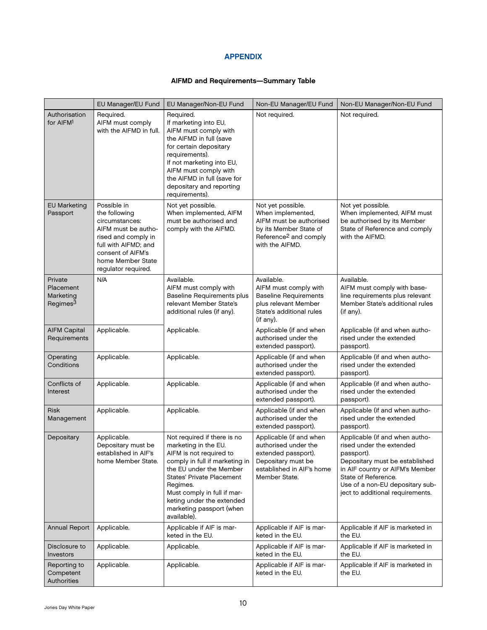# APPENDIX

# AIFMD and Requirements—Summary Table

<span id="page-11-0"></span>

|                                                           | EU Manager/EU Fund                                                                                                                                                                    | EU Manager/Non-EU Fund                                                                                                                                                                                                                                                                             | Non-EU Manager/EU Fund                                                                                                                              | Non-EU Manager/Non-EU Fund                                                                                                                                                                                                                  |
|-----------------------------------------------------------|---------------------------------------------------------------------------------------------------------------------------------------------------------------------------------------|----------------------------------------------------------------------------------------------------------------------------------------------------------------------------------------------------------------------------------------------------------------------------------------------------|-----------------------------------------------------------------------------------------------------------------------------------------------------|---------------------------------------------------------------------------------------------------------------------------------------------------------------------------------------------------------------------------------------------|
| Authorisation<br>for AIFM <sup>1</sup>                    | Required.<br>AIFM must comply<br>with the AIFMD in full.                                                                                                                              | Required.<br>If marketing into EU,<br>AIFM must comply with<br>the AIFMD in full (save<br>for certain depositary<br>requirements).<br>If not marketing into EU,<br>AIFM must comply with<br>the AIFMD in full (save for<br>depositary and reporting<br>requirements).                              | Not required.                                                                                                                                       | Not required.                                                                                                                                                                                                                               |
| <b>EU Marketing</b><br>Passport                           | Possible in<br>the following<br>circumstances:<br>AIFM must be autho-<br>rised and comply in<br>full with AIFMD; and<br>consent of AIFM's<br>home Member State<br>regulator required. | Not yet possible.<br>When implemented, AIFM<br>must be authorised and<br>comply with the AIFMD.                                                                                                                                                                                                    | Not yet possible.<br>When implemented,<br>AIFM must be authorised<br>by its Member State of<br>Reference <sup>2</sup> and comply<br>with the AIFMD. | Not yet possible.<br>When implemented, AIFM must<br>be authorised by its Member<br>State of Reference and comply<br>with the AIFMD.                                                                                                         |
| Private<br>Placement<br>Marketing<br>Regimes <sup>3</sup> | N/A                                                                                                                                                                                   | Available.<br>AIFM must comply with<br><b>Baseline Requirements plus</b><br>relevant Member State's<br>additional rules (if any).                                                                                                                                                                  | Available.<br>AIFM must comply with<br><b>Baseline Requirements</b><br>plus relevant Member<br>State's additional rules<br>$($ if any $).$          | Available.<br>AIFM must comply with base-<br>line requirements plus relevant<br>Member State's additional rules<br>(if any).                                                                                                                |
| <b>AIFM Capital</b><br>Requirements                       | Applicable.                                                                                                                                                                           | Applicable.                                                                                                                                                                                                                                                                                        | Applicable (if and when<br>authorised under the<br>extended passport).                                                                              | Applicable (if and when autho-<br>rised under the extended<br>passport).                                                                                                                                                                    |
| Operating<br>Conditions                                   | Applicable.                                                                                                                                                                           | Applicable.                                                                                                                                                                                                                                                                                        | Applicable (if and when<br>authorised under the<br>extended passport).                                                                              | Applicable (if and when autho-<br>rised under the extended<br>passport).                                                                                                                                                                    |
| Conflicts of<br>Interest                                  | Applicable.                                                                                                                                                                           | Applicable.                                                                                                                                                                                                                                                                                        | Applicable (if and when<br>authorised under the<br>extended passport).                                                                              | Applicable (if and when autho-<br>rised under the extended<br>passport).                                                                                                                                                                    |
| <b>Risk</b><br>Management                                 | Applicable.                                                                                                                                                                           | Applicable.                                                                                                                                                                                                                                                                                        | Applicable (if and when<br>authorised under the<br>extended passport).                                                                              | Applicable (if and when autho-<br>rised under the extended<br>passport).                                                                                                                                                                    |
| Depositary                                                | Applicable.<br>Depositary must be<br>established in AIF's<br>home Member State.                                                                                                       | Not required if there is no<br>marketing in the EU.<br>AIFM is not required to<br>comply in full if marketing in<br>the EU under the Member<br><b>States' Private Placement</b><br>Regimes.<br>Must comply in full if mar-<br>keting under the extended<br>marketing passport (when<br>available). | Applicable (if and when<br>authorised under the<br>extended passport).<br>Depositary must be<br>established in AIF's home<br>Member State.          | Applicable (if and when autho-<br>rised under the extended<br>passport).<br>Depositary must be established<br>in AIF country or AIFM's Member<br>State of Reference.<br>Use of a non-EU depositary sub-<br>ject to additional requirements. |
| Annual Report                                             | Applicable.                                                                                                                                                                           | Applicable if AIF is mar-<br>keted in the EU.                                                                                                                                                                                                                                                      | Applicable if AIF is mar-<br>keted in the EU.                                                                                                       | Applicable if AIF is marketed in<br>the EU.                                                                                                                                                                                                 |
| Disclosure to<br>Investors                                | Applicable.                                                                                                                                                                           | Applicable.                                                                                                                                                                                                                                                                                        | Applicable if AIF is mar-<br>keted in the EU.                                                                                                       | Applicable if AIF is marketed in<br>the EU.                                                                                                                                                                                                 |
| Reporting to<br>Competent<br>Authorities                  | Applicable.                                                                                                                                                                           | Applicable.                                                                                                                                                                                                                                                                                        | Applicable if AIF is mar-<br>keted in the EU.                                                                                                       | Applicable if AIF is marketed in<br>the EU.                                                                                                                                                                                                 |